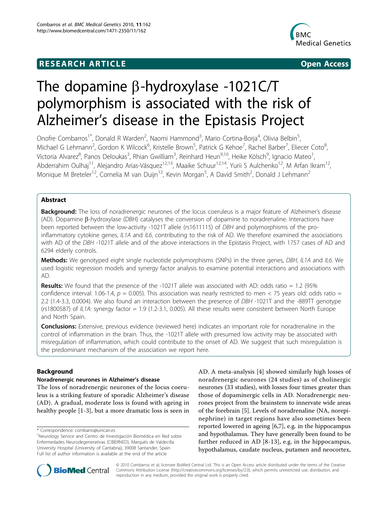# **RESEARCH ARTICLE Example 2014 CONSIDERING ACCESS**



# The dopamine  $\beta$ -hydroxylase -1021C/T polymorphism is associated with the risk of Alzheimer's disease in the Epistasis Project

Onofre Combarros<sup>1\*</sup>, Donald R Warden<sup>2</sup>, Naomi Hammond<sup>3</sup>, Mario Cortina-Borja<sup>4</sup>, Olivia Belbin<sup>5</sup> , Michael G Lehmann<sup>2</sup>, Gordon K Wilcock<sup>6</sup>, Kristelle Brown<sup>5</sup>, Patrick G Kehoe<sup>7</sup>, Rachel Barber<sup>7</sup>, Eliecer Coto<sup>8</sup> , Victoria Alvarez<sup>8</sup>, Panos Deloukas<sup>3</sup>, Rhian Gwilliam<sup>3</sup>, Reinhard Heun<sup>9,10</sup>, Heike Kölsch<sup>9</sup>, Ignacio Mateo<sup>1</sup> , Abderrahim Oulhaj<sup>11</sup>, Alejandro Arias-Vásquez<sup>12,13</sup>, Maaike Schuur<sup>12,14</sup>, Yurii S Aulchenko<sup>12</sup>, M Arfan Ikram<sup>12</sup>, Monique M Breteler<sup>12</sup>, Cornelia M van Duijn<sup>12</sup>, Kevin Morgan<sup>5</sup>, A David Smith<sup>2</sup>, Donald J Lehmann<sup>2</sup>

# Abstract

**Background:** The loss of noradrenergic neurones of the locus coeruleus is a major feature of Alzheimer's disease  $(AD)$ . Dopamine  $\beta$ -hydroxylase (DBH) catalyses the conversion of dopamine to noradrenaline. Interactions have been reported between the low-activity -1021T allele (rs1611115) of DBH and polymorphisms of the proinflammatory cytokine genes, IL1A and IL6, contributing to the risk of AD. We therefore examined the associations with AD of the DBH -1021T allele and of the above interactions in the Epistasis Project, with 1757 cases of AD and 6294 elderly controls.

Methods: We genotyped eight single nucleotide polymorphisms (SNPs) in the three genes, DBH, IL1A and IL6. We used logistic regression models and synergy factor analysis to examine potential interactions and associations with AD.

**Results:** We found that the presence of the -1021T allele was associated with AD: odds ratio = 1.2 (95%) confidence interval: 1.06-1.4,  $p = 0.005$ ). This association was nearly restricted to men < 75 years old: odds ratio = 2.2 (1.4-3.3, 0.0004). We also found an interaction between the presence of DBH -1021T and the -889TT genotype (rs1800587) of  $|L1A$ : synergy factor = 1.9 (1.2-3.1, 0.005). All these results were consistent between North Europe and North Spain.

**Conclusions:** Extensive, previous evidence (reviewed here) indicates an important role for noradrenaline in the control of inflammation in the brain. Thus, the -1021T allele with presumed low activity may be associated with misregulation of inflammation, which could contribute to the onset of AD. We suggest that such misregulation is the predominant mechanism of the association we report here.

# Background

## Noradrenergic neurones in Alzheimer's disease

The loss of noradrenergic neurones of the locus coeruleus is a striking feature of sporadic Alzheimer's disease (AD). A gradual, moderate loss is found with ageing in healthy people [\[1](#page-6-0)-[3\]](#page-6-0), but a more dramatic loss is seen in AD. A meta-analysis [\[4](#page-6-0)] showed similarly high losses of noradrenergic neurones (24 studies) as of cholinergic neurones (33 studies), with losses four times greater than those of dopaminergic cells in AD. Noradrenergic neurones project from the brainstem to innervate wide areas of the forebrain [[5](#page-6-0)]. Levels of noradrenaline (NA, norepinephrine) in target regions have also sometimes been reported lowered in ageing [[6,7\]](#page-6-0), e.g. in the hippocampus and hypothalamus. They have generally been found to be further reduced in AD [[8-](#page-6-0)[13\]](#page-7-0), e.g. in the hippocampus, hypothalamus, caudate nucleus, putamen and neocortex,



© 2010 Combarros et al; licensee BioMed Central Ltd. This is an Open Access article distributed under the terms of the Creative Commons Attribution License [\(http://creativecommons.org/licenses/by/2.0](http://creativecommons.org/licenses/by/2.0)), which permits unrestricted use, distribution, and reproduction in any medium, provided the original work is properly cited.

<sup>\*</sup> Correspondence: [combarro@unican.es](mailto:combarro@unican.es)

<sup>&</sup>lt;sup>1</sup>Neurology Service and Centro de Investigación Biomédica en Red sobre Enfermedades Neurodegenerativas (CIBERNED), Marqués de Valdecilla University Hospital (University of Cantabria), 39008 Santander, Spain Full list of author information is available at the end of the article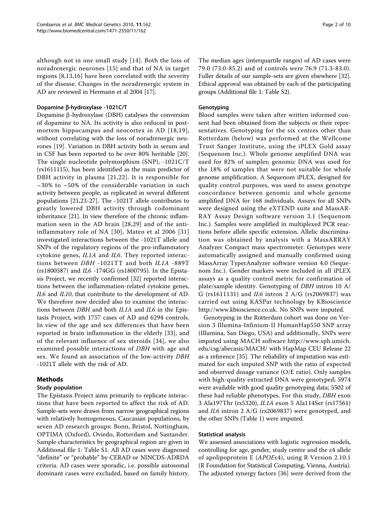although not in one small study [[14](#page-7-0)]. Both the loss of noradrenergic neurones [\[15\]](#page-7-0) and that of NA in target regions [[8,](#page-6-0)[13](#page-7-0),[16\]](#page-7-0) have been correlated with the severity of the disease. Changes in the noradrenergic system in AD are reviewed in Hermann et al 2004 [[17](#page-7-0)].

## Dopamine β-hydroxylase -1021C/T

Dopamine  $\beta$ -hydroxylase (DBH) catalyses the conversion of dopamine to NA. Its activity is also reduced in postmortem hippocampus and neocortex in AD [[18,19\]](#page-7-0), without correlating with the loss of noradrenergic neurones [[19](#page-7-0)]. Variation in DBH activity both in serum and in CSF has been reported to be over 80% heritable [\[20](#page-7-0)]. The single nucleotide polymorphism (SNP), -1021C/T (rs1611115), has been identified as the main predictor of DBH activity in plasma [[21](#page-7-0),[22](#page-7-0)]. It is responsible for  $\sim$ 30% to  $\sim$ 50% of the considerable variation in such activity between people, as replicated in several different populations [\[21,23](#page-7-0)-[27\]](#page-7-0). The -1021T allele contributes to greatly lowered DBH activity through codominant inheritance [[21](#page-7-0)]. In view therefore of the chronic inflammation seen in the AD brain [[28](#page-7-0),[29](#page-7-0)] and of the antiinflammatory role of NA [[30\]](#page-7-0), Mateo et al 2006 [[31](#page-7-0)] investigated interactions between the -1021T allele and SNPs of the regulatory regions of the pro-inflammatory cytokine genes, IL1A and IL6. They reported interactions between DBH -1021TT and both IL1A -889T (rs1800587) and IL6 -174GG (rs1800795). In the Epistasis Project, we recently confirmed [[32\]](#page-7-0) reported interactions between the inflammation-related cytokine genes, IL6 and IL10, that contribute to the development of AD. We therefore now decided also to examine the interactions between DBH and both IL1A and IL6 in the Epistasis Project, with 1757 cases of AD and 6294 controls. In view of the age and sex differences that have been reported in brain inflammation in the elderly [\[33](#page-7-0)], and of the relevant influence of sex steroids [[34](#page-7-0)], we also examined possible interactions of DBH with age and sex. We found an association of the low-activity DBH -1021T allele with the risk of AD.

# Methods

## Study population

The Epistasis Project aims primarily to replicate interactions that have been reported to affect the risk of AD. Sample-sets were drawn from narrow geographical regions with relatively homogeneous, Caucasian populations, by seven AD research groups: Bonn, Bristol, Nottingham, OPTIMA (Oxford), Oviedo, Rotterdam and Santander. Sample characteristics by geographical region are given in Additional file [1:](#page-6-0) Table S1. All AD cases were diagnosed "definite" or "probable" by CERAD or NINCDS-ADRDA criteria. AD cases were sporadic, i.e. possible autosomal dominant cases were excluded, based on family history.

The median ages (interquartile ranges) of AD cases were 79.0 (73.0-85.2) and of controls were 76.9 (71.3-83.0). Fuller details of our sample-sets are given elsewhere [[32](#page-7-0)]. Ethical approval was obtained by each of the participating groups (Additional file [1:](#page-6-0) Table S2).

## Genotyping

Blood samples were taken after written informed consent had been obtained from the subjects or their representatives. Genotyping for the six centres other than Rotterdam (below) was performed at the Wellcome Trust Sanger Institute, using the iPLEX Gold assay (Sequenom Inc.). Whole genome amplified DNA was used for 82% of samples; genomic DNA was used for the 18% of samples that were not suitable for whole genome amplification. A Sequenom iPLEX, designed for quality control purposes, was used to assess genotype concordance between genomic and whole genome amplified DNA for 168 individuals. Assays for all SNPs were designed using the eXTEND suite and MassAR-RAY Assay Design software version 3.1 (Sequenom Inc.). Samples were amplified in multiplexed PCR reactions before allele specific extension. Allelic discrimination was obtained by analysis with a MassARRAY Analyzer Compact mass spectrometer. Genotypes were automatically assigned and manually confirmed using MassArray TyperAnalyzer software version 4.0 (Sequenom Inc.). Gender markers were included in all iPLEX assays as a quality control metric for confirmation of plate/sample identity. Genotyping of DBH intron 10 A/ G (rs1611131) and IL6 intron 2 A/G (rs2069837) was carried out using KASPar technology by KBioscience [http://www.kbioscience.co.uk.](http://www.kbioscience.co.uk) No SNPs were imputed.

Genotyping in the Rotterdam cohort was done on Version 3 Illumina-Infinium-II HumanHap550 SNP array (Illumina, San Diego, USA) and additionally, SNPs were imputed using MACH software [http://www.sph.umich.](http://www.sph.umich.edu/csg/abecasis/MACH/) [edu/csg/abecasis/MACH/](http://www.sph.umich.edu/csg/abecasis/MACH/) with HapMap CEU Release 22 as a reference [[35](#page-7-0)]. The reliability of imputation was estimated for each imputed SNP with the ratio of expected and observed dosage variance (O/E ratio). Only samples with high-quality extracted DNA were genotyped; 5974 were available with good quality genotyping data; 5502 of these had reliable phenotypes. For this study, DBH exon 3 Ala197Thr (rs5320), IL1A exon 5 Ala114Ser (rs17561) and IL6 intron 2 A/G (rs2069837) were genotyped, and the other SNPs (Table [1\)](#page-2-0) were imputed.

## Statistical analysis

We assessed associations with logistic regression models, controlling for age, gender, study centre and the ε4 allele of apolipoprotein E (APOEε4), using R Version 2.10.1 (R Foundation for Statistical Computing, Vienna, Austria). The adjusted synergy factors [\[36](#page-7-0)] were derived from the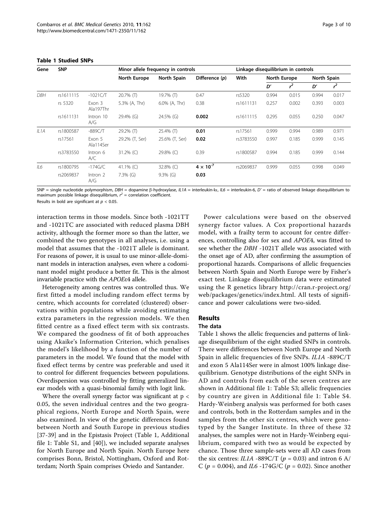| Gene              | <b>SNP</b> |                     | Minor allele frequency in controls |                  |                    | Linkage disequilibrium in controls |              |       |             |       |
|-------------------|------------|---------------------|------------------------------------|------------------|--------------------|------------------------------------|--------------|-------|-------------|-------|
|                   |            |                     | North Europe                       | North Spain      | Difference (p)     | With                               | North Europe |       | North Spain |       |
|                   |            |                     |                                    |                  |                    |                                    | D'           | $r^2$ | D'          | $r^2$ |
| <b>DBH</b>        | rs1611115  | $-1021C/T$          | $20.7\%$ (T)                       | 19.7% $($ T)     | 0.47               | rs5320                             | 0.994        | 0.015 | 0.994       | 0.017 |
|                   | rs 5320    | Exon 3<br>Ala197Thr | 5.3% (A, Thr)                      | $6.0\%$ (A, Thr) | 0.38               | rs1611131                          | 0.257        | 0.002 | 0.393       | 0.003 |
|                   | rs1611131  | Intron 10<br>A/G    | 29.4% (G)                          | 24.5% (G)        | 0.002              | rs1611115                          | 0.295        | 0.055 | 0.250       | 0.047 |
| IL <sub>1</sub> A | rs1800587  | $-889C/T$           | 29.2% (T)                          | $25.4\%$ (T)     | 0.01               | rs17561                            | 0.999        | 0.994 | 0.989       | 0.971 |
|                   | rs17561    | Fxon 5<br>Ala114Ser | 29.2% (T, Ser)                     | 25.6% (T, Ser)   | 0.02               | rs3783550                          | 0.997        | 0.185 | 0.999       | 0.145 |
|                   | rs3783550  | Intron 6<br>A/C     | 31.2% $(C)$                        | 29.8% (C)        | 0.39               | rs1800587                          | 0.994        | 0.185 | 0.999       | 0.144 |
| IL6               | rs1800795  | $-174G/C$           | 41.1% (C)                          | 32.8% (C)        | $4 \times 10^{-7}$ | rs2069837                          | 0.999        | 0.055 | 0.998       | 0.049 |
|                   | rs2069837  | Intron 2<br>A/G     | $7.3\%$ (G)                        | $9.3\%$ (G)      | 0.03               |                                    |              |       |             |       |

#### <span id="page-2-0"></span>Table 1 Studied SNPs

SNP = single nucleotide polymorphism, DBH = dopamine  $\beta$ -hydroxylase, IL1A = interleukin-la, IL6 = interleukin-6, D' = ratio of observed linkage disequilibrium to maximum possible linkage disequilibrium,  $r^2$  = correlation coefficient.

Results in bold are significant at  $p < 0.05$ .

interaction terms in those models. Since both -1021TT and -1021TC are associated with reduced plasma DBH activity, although the former more so than the latter, we combined the two genotypes in all analyses, i.e. using a model that assumes that the -1021T allele is dominant. For reasons of power, it is usual to use minor-allele-dominant models in interaction analyses, even where a codominant model might produce a better fit. This is the almost invariable practice with the APOEε4 allele.

Heterogeneity among centres was controlled thus. We first fitted a model including random effect terms by centre, which accounts for correlated (clustered) observations within populations while avoiding estimating extra parameters in the regression models. We then fitted centre as a fixed effect term with six contrasts. We compared the goodness of fit of both approaches using Akaike's Information Criterion, which penalises the model's likelihood by a function of the number of parameters in the model. We found that the model with fixed effect terms by centre was preferable and used it to control for different frequencies between populations. Overdispersion was controlled by fitting generalized linear models with a quasi-binomial family with logit link.

Where the overall synergy factor was significant at  $p <$ 0.05, the seven individual centres and the two geographical regions, North Europe and North Spain, were also examined. In view of the genetic differences found between North and South Europe in previous studies [[37-39](#page-7-0)] and in the Epistasis Project (Table 1, Additional file [1](#page-6-0): Table S1, and [\[40\]](#page-7-0)), we included separate analyses for North Europe and North Spain. North Europe here comprises Bonn, Bristol, Nottingham, Oxford and Rotterdam; North Spain comprises Oviedo and Santander.

Power calculations were based on the observed synergy factor values. A Cox proportional hazards model, with a frailty term to account for centre differences, controlling also for sex and APOE4, was fitted to see whether the DBH -1021T allele was associated with the onset age of AD, after confirming the assumption of proportional hazards. Comparisons of allelic frequencies between North Spain and North Europe were by Fisher's exact test. Linkage disequilibrium data were estimated using the R genetics library [http://cran.r-project.org/](http://cran.r-project.org/web/packages/genetics/index.html) [web/packages/genetics/index.html.](http://cran.r-project.org/web/packages/genetics/index.html) All tests of significance and power calculations were two-sided.

# Results

#### The data

Table 1 shows the allelic frequencies and patterns of linkage disequilibrium of the eight studied SNPs in controls. There were differences between North Europe and North Spain in allelic frequencies of five SNPs. IL1A -889C/T and exon 5 Ala114Ser were in almost 100% linkage disequilibrium. Genotype distributions of the eight SNPs in AD and controls from each of the seven centres are shown in Additional file [1](#page-6-0): Table S3; allelic frequencies by country are given in Additional file [1](#page-6-0): Table S4. Hardy-Weinberg analysis was performed for both cases and controls, both in the Rotterdam samples and in the samples from the other six centres, which were genotyped by the Sanger Institute. In three of these 32 analyses, the samples were not in Hardy-Weinberg equilibrium, compared with two as would be expected by chance. Those three sample-sets were all AD cases from the six centres: IL1A -889C/T ( $p = 0.03$ ) and intron 6 A/ C ( $p = 0.004$ ), and *IL6* -174G/C ( $p = 0.02$ ). Since another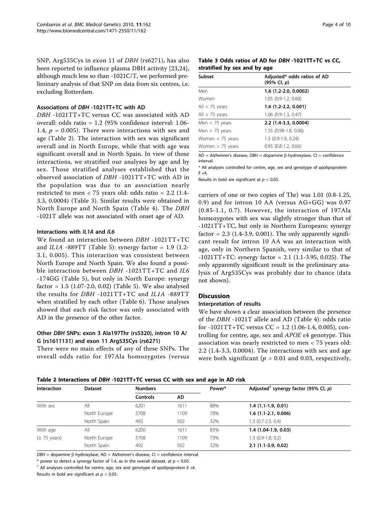<span id="page-3-0"></span>SNP, Arg535Cys in exon 11 of DBH (rs6271), has also been reported to influence plasma DBH activity [[23,24](#page-7-0)], although much less so than -1021C/T, we performed preliminary analysis of that SNP on data from six centres, i.e. excluding Rotterdam.

#### Associations of DBH -1021TT+TC with AD

DBH -1021TT+TC versus CC was associated with AD overall: odds ratio = 1.2 (95% confidence interval: 1.06- 1.4,  $p = 0.005$ ). There were interactions with sex and age (Table 2). The interaction with sex was significant overall and in North Europe, while that with age was significant overall and in North Spain. In view of those interactions, we stratified our analyses by age and by sex. Those stratified analyses established that the observed association of DBH -1021TT+TC with AD in the population was due to an association nearly restricted to men < 75 years old: odds ratio = 2.2 (1.4- 3.3, 0.0004) (Table 3). Similar results were obtained in North Europe and North Spain (Table [4\)](#page-4-0). The DBH -1021T allele was not associated with onset age of AD.

#### Interactions with IL1A and IL6

We found an interaction between DBH -1021TT+TC and  $ILIA$  -889TT (Table [5](#page-4-0)): synergy factor = 1.9 (1.2-3.1, 0.005). This interaction was consistent between North Europe and North Spain. We also found a possible interaction between *DBH* -1021TT+TC and *IL6* -174GG (Table [5\)](#page-4-0), but only in North Europe: synergy factor = 1.5 (1.07-2.0, 0.02) (Table [5](#page-4-0)). We also analysed the results for DBH -1021TT+TC and IL1A -889TT when stratified by each other (Table [6\)](#page-5-0). Those analyses showed that each risk factor was only associated with AD in the presence of the other factor.

## Other DBH SNPs: exon 3 Ala197Thr (rs5320), intron 10 A/ G (rs1611131) and exon 11 Arg535Cys (rs6271)

There were no main effects of any of these SNPs. The overall odds ratio for 197Ala homozygotes (versus

Table 3 Odds ratios of AD for DBH -1021TT+TC vs CC, stratified by sex and by age

| <b>Subset</b>      | Adjusted* odds ratios of AD<br>$(95\% \; Cl, p)$ |
|--------------------|--------------------------------------------------|
| Men                | $1.6$ (1.2-2.0, 0.0002)                          |
| Women              | $1.05$ $(0.9-1.2, 0.60)$                         |
| All $<$ 75 years   | $1.6$ (1.2-2.2, 0.001)                           |
| All $> 75$ years   | $1.06$ (0.9-1.3, 0.47)                           |
| Men $<$ 75 years   | 2.2 (1.4-3.3, 0.0004)                            |
| Men $>$ 75 years   | 1.35 (0.98-1.8, 0.06)                            |
| Women $<$ 75 years | 1.3 (0.9-1.9, 0.24)                              |
| Women $> 75$ years | $0.95$ $(0.8-1.2, 0.66)$                         |

 $AD = Alzheimer's disease, DBH = dopamine β-hydroxylase, Cl = confidence$ interval.

\* All analyses controlled for centre, age, sex and genotype of apolipoprotein E ε4.

Results in bold are significant at  $p < 0.05$ .

carriers of one or two copies of Thr) was 1.01 (0.8-1.25, 0.9) and for intron 10 AA (versus AG+GG) was 0.97 (0.85-1.1, 0.7). However, the interaction of 197Ala homozygotes with sex was slightly stronger than that of -1021TT+TC, but only in Northern Europeans: synergy factor =  $2.3$  (1.4-3.9, 0.001). The only apparently significant result for intron 10 AA was an interaction with age, only in Northern Spanish, very similar to that of  $-1021TT+TC$ : synergy factor = 2.1 (1.1-3.95, 0.025). The only apparently significant result in the preliminary analysis of Arg535Cys was probably due to chance (data not shown).

## **Discussion**

#### Interpretation of results

We have shown a clear association between the presence of the DBH -1021T allele and AD (Table [4](#page-4-0)): odds ratio for -1021TT+TC versus  $CC = 1.2$  (1.06-1.4, 0.005), controlling for centre, age, sex and APOE ε4 genotype. This association was nearly restricted to men < 75 years old: 2.2 (1.4-3.3, 0.0004). The interactions with sex and age were both significant ( $p = 0.01$  and 0.03, respectively,

| <b>Interaction</b>       | <b>Dataset</b> | <b>Numbers</b>  |      | Power* | Adjusted <sup>†</sup> synergy factor (95% Cl, p) |  |
|--------------------------|----------------|-----------------|------|--------|--------------------------------------------------|--|
|                          |                | <b>Controls</b> | AD   |        |                                                  |  |
| With sex                 | All            | 6201            | 1611 | 88%    | $1.4(1.1-1.9, 0.01)$                             |  |
|                          | North Europe   | 5708            | 1109 | 78%    | $1.6$ (1.1-2.1, 0.006)                           |  |
|                          | North Spain    | 493             | 502  | 32%    | $1.3$ (0.7-2.5, 0.4)                             |  |
| With age                 | All            | 6200            | 1611 | 85%    | $1.4(1.04-1.9, 0.03)$                            |  |
| $(\pm 75 \text{ years})$ | North Europe   | 5708            | 1109 | 73%    | $1.3$ (0.9-1.8, 0.2)                             |  |
|                          | North Spain    | 492             | 502  | 32%    | $2.1$ (1.1-3.9, 0.02)                            |  |

Table 2 Interactions of DBH -1021TT+TC versus CC with sex and age in AD risk

 $DBH =$  dopamine  $\beta$ -hydroxylase, AD = Alzheimer's disease, CI = confidence interval.

\* power to detect a synergy factor of 1.4, as in the overall dataset, at  $p < 0.05$ .

 $^{\dagger}$  All analyses controlled for centre, age, sex and genotype of apolipoprotein E  $\varepsilon$ 4.

Results in bold are significant at  $p < 0.05$ .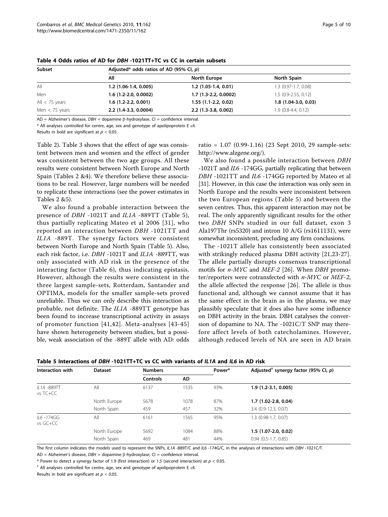| Subset           | Adjusted* odds ratios of AD (95% Cl, $p$ ) |                        |                        |  |  |  |
|------------------|--------------------------------------------|------------------------|------------------------|--|--|--|
|                  | All                                        | North Europe           | North Spain            |  |  |  |
| All              | $1.2$ (1.06-1.4, 0.005)                    | $1.2$ (1.05-1.4, 0.01) | $1.3$ (0.97-1.7, 0.08) |  |  |  |
| Men              | $1.6$ (1.2-2.0, 0.0002)                    | $1.7(1.3-2.2, 0.0002)$ | $1.5(0.9-2.55, 0.12)$  |  |  |  |
| All $<$ 75 years | $1.6(1.2-2.2, 0.001)$                      | $1.55(1.1-2.2, 0.02)$  | $1.8(1.04-3.0, 0.03)$  |  |  |  |
| Men $<$ 75 years | 2.2 (1.4-3.3, 0.0004)                      | $2.2$ (1.3-3.8, 0.002) | $1.9(0.8-4.4, 0.12)$   |  |  |  |

<span id="page-4-0"></span>Table 4 Odds ratios of AD for DBH -1021TT+TC vs CC in certain subsets

AD = Alzheimer's disease,  $DBH =$  dopamine  $\beta$ -hydroxylase, CI = confidence interval.

\* All analyses controlled for centre, age, sex and genotype of apolipoprotein E ε4.

Results in bold are significant at  $p < 0.05$ .

Table [2\)](#page-3-0). Table [3](#page-3-0) shows that the effect of age was consistent between men and women and the effect of gender was consistent between the two age groups. All these results were consistent between North Europe and North Spain (Tables [2](#page-3-0) &4). We therefore believe these associations to be real. However, large numbers will be needed to replicate these interactions (see the power estimates in Tables [2](#page-3-0) &5).

We also found a probable interaction between the presence of DBH -1021T and IL1A -889TT (Table 5), thus partially replicating Mateo et al 2006 [\[31\]](#page-7-0), who reported an interaction between DBH -1021TT and IL1A -889T. The synergy factors were consistent between North Europe and North Spain (Table 5). Also, each risk factor, i.e. DBH -1021T and IL1A -889TT, was only associated with AD risk in the presence of the interacting factor (Table [6](#page-5-0)), thus indicating epistasis. However, although the results were consistent in the three largest sample-sets, Rotterdam, Santander and OPTIMA, models for the smaller sample-sets proved unreliable. Thus we can only describe this interaction as probable, not definite. The IL1A -889TT genotype has been found to increase transcriptional activity in assays of promoter function [[41](#page-7-0),[42\]](#page-7-0). Meta-analyses [[43-45](#page-7-0)] have shown heterogeneity between studies, but a possible, weak association of the -889T allele with AD: odds

ratio = 1.07 (0.99-1.16) (23 Sept 2010, 29 sample-sets: <http://www.alzgene.org/>).

We also found a possible interaction between DBH -1021T and IL6 -174GG, partially replicating that between DBH -1021TT and IL6 -174GG reported by Mateo et al [[31](#page-7-0)]. However, in this case the interaction was only seen in North Europe and the results were inconsistent between the two European regions (Table 5) and between the seven centres. Thus, this apparent interaction may not be real. The only apparently significant results for the other two DBH SNPs studied in our full dataset, exon 3 Ala197Thr (rs5320) and intron 10 A/G (rs1611131), were somewhat inconsistent, precluding any firm conclusions.

The -1021T allele has consistently been associated with strikingly reduced plasma DBH activity [\[21](#page-7-0),[23-27](#page-7-0)]. The allele partially disrupts consensus transcriptional motifs for *n*-MYC and MEF-2 [\[26](#page-7-0)]. When DBH promoter/reporters were cotransfected with n-MYC or MEF-2, the allele affected the response [[26](#page-7-0)]. The allele is thus functional and, although we cannot assume that it has the same effect in the brain as in the plasma, we may plausibly speculate that it does also have some influence on DBH activity in the brain. DBH catalyses the conversion of dopamine to NA. The -1021C/T SNP may therefore affect levels of both catecholamines. However, although reduced levels of NA are seen in AD brain

| Interaction with        | <b>Dataset</b> | <b>Numbers</b>  |      | Power* | Adjusted <sup>†</sup> synergy factor (95% CI, p) |  |  |
|-------------------------|----------------|-----------------|------|--------|--------------------------------------------------|--|--|
|                         |                | <b>Controls</b> | AD   |        |                                                  |  |  |
| IL1A -889TT<br>vs TC+CC | All            | 6137            | 1535 | 93%    | $1.9(1.2-3.1, 0.005)$                            |  |  |
|                         | North Europe   | 5678            | 1078 | 87%    | $1.7(1.02 - 2.8, 0.04)$                          |  |  |
|                         | North Spain    | 459             | 457  | 32%    | 3.4 (0.9-12.3, 0.07)                             |  |  |
| IL6 -174GG<br>vs GC+CC  | All            | 6161            | 1565 | 95%    | 1.3 (0.98-1.7, 0.07)                             |  |  |
|                         | North Europe   | 5692            | 1084 | 88%    | $1.5(1.07-2.0, 0.02)$                            |  |  |
|                         | North Spain    | 469             | 481  | 44%    | $0.94$ $(0.5-1.7, 0.85)$                         |  |  |

Table 5 Interactions of DBH -1021TT+TC vs CC with variants of IL1A and IL6 in AD risk

The first column indicates the models used to represent the SNPs, IL1A -889T/C and IL6 -174G/C, in the analyses of interactions with DBH -1021C/T.

AD = Alzheimer's disease,  $DBH =$  dopamine  $\beta$ -hydroxylase, CI = confidence interval.

\* Power to detect a synergy factor of 1.9 (first interaction) or 1.5 (second interaction) at  $p < 0.05$ .

 $^{\dagger}$  All analyses controlled for centre, age, sex and genotype of apolipoprotein E  $\varepsilon$ 4.

Results in bold are significant at  $p < 0.05$ .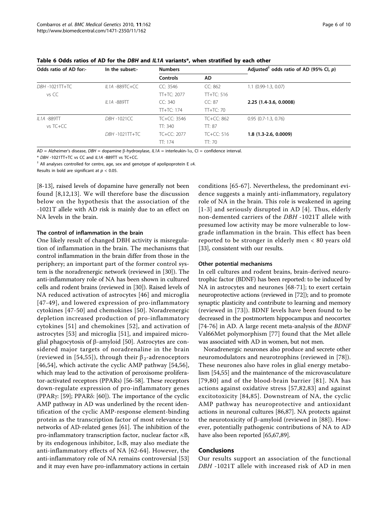| Odds ratio of AD for:- | In the subset:-   | <b>Numbers</b>  |              | Adjusted <sup>†</sup> odds ratio of AD (95% Cl, p) |  |  |
|------------------------|-------------------|-----------------|--------------|----------------------------------------------------|--|--|
|                        |                   | <b>Controls</b> | AD.          |                                                    |  |  |
| DBH -1021TT+TC         | IL1A -889TC+CC    | CC: 3546        | CC: 862      | $1.1$ (0.99-1.3, 0.07)                             |  |  |
| vs CC                  |                   | $TT+TC: 2077$   | $TT+TC: 516$ |                                                    |  |  |
|                        | IL1A -889TT       | CC: 340         | CC: 87       | 2.25 (1.4-3.6, 0.0008)                             |  |  |
|                        |                   | $TT+TC: 174$    | $TT+TC:70$   |                                                    |  |  |
| IL1A -889TT            | <b>DBH-1021CC</b> | $TC+CC: 3546$   | $TC+CC: 862$ | $0.95$ $(0.7-1.3, 0.76)$                           |  |  |
| vs TC+CC               |                   | TT: 340         | TT: 87       |                                                    |  |  |
|                        | DBH -1021TT+TC    | $TC+CC: 2077$   | TC+CC: 516   | $1.8$ (1.3-2.6, 0.0009)                            |  |  |
|                        |                   | TT: 174         | TT:70        |                                                    |  |  |

<span id="page-5-0"></span>Table 6 Odds ratios of AD for the DBH and IL1A variants\*, when stratified by each other

AD = Alzheimer's disease, DBH = dopamine  $\beta$ -hydroxylase, IL1A = interleukin-1 $\alpha$ , CI = confidence interval.

\* DBH -1021TT+TC vs CC and IL1A -889TT vs TC+CC.

 $<sup>†</sup>$  All analyses controlled for centre, age, sex and genotype of apolipoprotein E  $\varepsilon$ 4.</sup>

Results in bold are significant at  $p < 0.05$ .

[[8-](#page-6-0)[13](#page-7-0)], raised levels of dopamine have generally not been found [[8,](#page-6-0)[12](#page-7-0),[13\]](#page-7-0). We will therefore base the discussion below on the hypothesis that the association of the -1021T allele with AD risk is mainly due to an effect on NA levels in the brain.

#### The control of inflammation in the brain

One likely result of changed DBH activity is misregulation of inflammation in the brain. The mechanisms that control inflammation in the brain differ from those in the periphery; an important part of the former control system is the noradrenergic network (reviewed in [[30\]](#page-7-0)). The anti-inflammatory role of NA has been shown in cultured cells and rodent brains (reviewed in [[30](#page-7-0)]). Raised levels of NA reduced activation of astrocytes [[46](#page-7-0)] and microglia [[47-49](#page-7-0)], and lowered expression of pro-inflammatory cytokines [[47](#page-7-0)[-50\]](#page-8-0) and chemokines [[50\]](#page-8-0). Noradrenergic depletion increased production of pro-inflammatory cytokines [[51\]](#page-8-0) and chemokines [[52](#page-8-0)], and activation of astrocytes [[53\]](#page-8-0) and microglia [[51](#page-8-0)], and impaired microglial phagocytosis of  $\beta$ -amyloid [[50](#page-8-0)]. Astrocytes are considered major targets of noradrenaline in the brain (reviewed in [[54,55\]](#page-8-0)), through their  $\beta_2$ -adrenoceptors [[46](#page-7-0)[,54](#page-8-0)], which activate the cyclic AMP pathway [[54,56](#page-8-0)], which may lead to the activation of peroxisome proliferator-activated receptors (PPARs) [\[56](#page-8-0)-[58\]](#page-8-0). These receptors down-regulate expression of pro-inflammatory genes (PPAR $\gamma$ : [\[59](#page-8-0)]; PPAR $\delta$ : [\[60](#page-8-0)]). The importance of the cyclic AMP pathway in AD was underlined by the recent identification of the cyclic AMP-response element-binding protein as the transcription factor of most relevance to networks of AD-related genes [[61\]](#page-8-0). The inhibition of the pro-inflammatory transcription factor, nuclear factor  $\kappa$ B, by its endogenous inhibitor, I $\kappa$ B, may also mediate the anti-inflammatory effects of NA [[62-64](#page-8-0)]. However, the anti-inflammatory role of NA remains controversial [\[53](#page-8-0)] and it may even have pro-inflammatory actions in certain

conditions [[65](#page-8-0)-[67](#page-8-0)]. Nevertheless, the predominant evidence suggests a mainly anti-inflammatory, regulatory role of NA in the brain. This role is weakened in ageing [[1-3\]](#page-6-0) and seriously disrupted in AD [\[4\]](#page-6-0). Thus, elderly non-demented carriers of the DBH -1021T allele with presumed low activity may be more vulnerable to lowgrade inflammation in the brain. This effect has been reported to be stronger in elderly men < 80 years old [[33\]](#page-7-0), consistent with our results.

#### Other potential mechanisms

In cell cultures and rodent brains, brain-derived neurotrophic factor (BDNF) has been reported: to be induced by NA in astrocytes and neurones [[68-71](#page-8-0)]; to exert certain neuroprotective actions (reviewed in [[72](#page-8-0)]); and to promote synaptic plasticity and contribute to learning and memory (reviewed in [[73](#page-8-0)]). BDNF levels have been found to be decreased in the postmortem hippocampus and neocortex [[74-76](#page-8-0)] in AD. A large recent meta-analysis of the BDNF Val66Met polymorphism [[77\]](#page-8-0) found that the Met allele was associated with AD in women, but not men.

Noradrenergic neurones also produce and secrete other neuromodulators and neurotrophins (reviewed in [[78\]](#page-8-0)). These neurones also have roles in glial energy metabolism [[54,55](#page-8-0)] and the maintenance of the microvasculature [[79](#page-8-0),[80](#page-8-0)] and of the blood-brain barrier [[81](#page-8-0)]. NA has actions against oxidative stress [[57,82,83\]](#page-8-0) and against excitotoxicity [[84](#page-8-0),[85](#page-8-0)]. Downstream of NA, the cyclic AMP pathway has neuroprotective and antioxidant actions in neuronal cultures [\[86,87](#page-8-0)]. NA protects against the neurotoxicity of  $\beta$ -amyloid (reviewed in [\[88](#page-8-0)]). However, potentially pathogenic contributions of NA to AD have also been reported [[65,67,89\]](#page-8-0).

#### Conclusions

Our results support an association of the functional DBH -1021T allele with increased risk of AD in men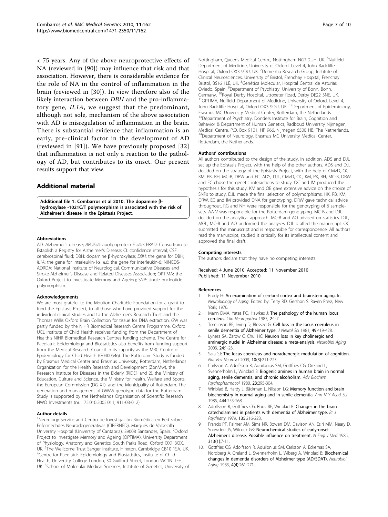<span id="page-6-0"></span>< 75 years. Any of the above neuroprotective effects of NA (reviewed in [[90\]](#page-9-0)) may influence that risk and that association. However, there is considerable evidence for the role of NA in the control of inflammation in the brain (reviewed in [[30](#page-7-0)]). In view therefore also of the likely interaction between DBH and the pro-inflammatory gene, IL1A, we suggest that the predominant, although not sole, mechanism of the above association with AD is misregulation of inflammation in the brain. There is substantial evidence that inflammation is an early, pre-clinical factor in the development of AD (reviewed in [\[91\]](#page-9-0)). We have previously proposed [[32](#page-7-0)] that inflammation is not only a reaction to the pathology of AD, but contributes to its onset. Our present results support that view.

## Additional material

[Additional file 1: C](http://www.biomedcentral.com/content/supplementary/1471-2350-11-162-S1.DOC)ombarros et al 2010: The dopamine bhydroxylase -1021C/T polymorphism is associated with the risk of Alzheimer's disease in the Epistasis Project.

#### **Abbreviations**

AD: Alzheimer's disease; APOEε4: apolipoprotein E ε4; CERAD: Consortium to Establish a Registry for Alzheimer's Disease; CI: confidence interval; CSF: cerebrospinal fluid; DBH: dopamine  $\beta$ -hydroxylase; *DBH*: the gene for DBH; *IL1A*: the gene for interleukin-1 $\alpha$ ; *IL6*: the gene for interleukin-6; NINCDS-IL1A: the gene for interleukin-1a; IL6: the gene for interleukin-6; NINCDS-ADRDA: National Institute of Neurological, Communicative Diseases and Stroke-Alzheimer's Disease and Related Diseases Association; OPTIMA: the Oxford Project to Investigate Memory and Ageing; SNP: single nucleotide polymorphism.

#### Acknowledgements

We are most grateful to the Moulton Charitable Foundation for a grant to fund the Epistasis Project, to all those who have provided support for the individual clinical studies and to the Alzheimer's Research Trust and the Thomas Willis Oxford Brain Collection for tissue for DNA extraction. GW was partly funded by the NIHR Biomedical Research Centre Programme, Oxford. UCL Institute of Child Health receives funding from the Department of Health's NIHR Biomedical Research Centres funding scheme. The Centre for Paediatric Epidemiology and Biostatistics also benefits from funding support from the Medical Research Council in its capacity as the MRC Centre of Epidemiology for Child Health (G0400546). The Rotterdam Study is funded by Erasmus Medical Center and Erasmus University, Rotterdam, Netherlands Organization for the Health Research and Development (ZonMw), the Research Institute for Diseases in the Elderly (RIDE1 and 2), the Ministry of Education, Culture and Science, the Ministry for Health, Welfare and Sports, the European Commission (DG XII), and the Municipality of Rotterdam. The generation and management of GWAS genotype data for the Rotterdam Study is supported by the Netherlands Organisation of Scientific Research NWO Investments (nr. 175.010.2005.011, 911-03-012)

#### Author details

<sup>1</sup>Neurology Service and Centro de Investigación Biomédica en Red sobre Enfermedades Neurodegenerativas (CIBERNED), Marqués de Valdecilla University Hospital (University of Cantabria), 39008 Santander, Spain. <sup>2</sup>Oxford Project to Investigate Memory and Ageing (OPTIMA), University Department of Physiology, Anatomy and Genetics, South Parks Road, Oxford OX1 3QX, UK. <sup>3</sup>The Wellcome Trust Sanger Institute, Hinxton, Cambridge CB10 1SA, UK.<br><sup>4</sup>Contre for Paodiatric Epidomialogy and Riostatistics, Institute of Child. <sup>4</sup>Centre for Paediatric Epidemiology and Biostatistics, Institute of Child Health, University College London, 30 Guilford Street, London WC1N 1EH, UK. <sup>5</sup>School of Molecular Medical Sciences, Institute of Genetics, University of

Nottingham, Queens Medical Centre, Nottingham NG7 2UH, UK. <sup>6</sup>Nuffield Department of Medicine, University of Oxford, Level 4, John Radcliffe Hospital, Oxford OX3 9DU, UK. <sup>7</sup> Dementia Research Group, Institute of Clinical Neurosciences, University of Bristol, Frenchay Hospital, Frenchay Bristol, BS16 1LE, UK. <sup>8</sup>Genética Molecular, Hospital Central de Asturias, Oviedo, Spain. <sup>9</sup>Department of Psychiatry, University of Bonn, Bonn, Germany. <sup>10</sup>Royal Derby Hospital, Uttoxeter Road, Derby DE22 3NE, UK.<br><sup>11</sup>OPTIMA, Nuffield Department of Medicine, University of Oxford, Level 4 John Radcliffe Hospital, Oxford OX3 9DU, UK. <sup>12</sup>Department of Epidemiology Erasmus MC University Medical Center, Rotterdam, the Netherlands. <sup>13</sup>Department of Psychiatry, Donders Institute for Brain, Cognition and Behavior & Department of Human Genetics, Radboud University Nijmegen, Medical Centre, P.O. Box 9101, HP 966, Nijmegen 6500 HB, The Netherlands. <sup>14</sup>Department of Neurology, Erasmus MC University Medical Center, Rotterdam, the Netherlands.

#### Authors' contributions

All authors contributed to the design of the study. In addition, ADS and DJL set up the Epistasis Project, with the help of the other authors. ADS and DJL decided on the strategy of the Epistasis Project, with the help of CMvD, OC, KM, PK, RH, MC-B, DRW and EC. ADS, DJL, CMvD, OC, KM, PK, RH, MC-B, DRW and EC chose the genetic interactions to study. OC and IM produced the hypothesis for this study. KM and OB gave extensive advice on the choice of SNPs to study. DJL made the final selection of polymorphisms. HK, RB, KM, DRW, EC and IM provided DNA for genotyping. DRW gave technical advice throughout. RG and NH were responsible for the genotyping of 6 samplesets. AA-V was responsible for the Rotterdam genotyping. MC-B and DJL decided on the analytical approach. MC-B and AO advised on statistics. DJL, MGL, MC-B and AO performed the analyses. DJL drafted the manuscript. OC submitted the manuscript and is responsible for correspondence. All authors read the manuscript, studied it critically for its intellectual content and approved the final draft.

#### Competing interests

The authors declare that they have no competing interests.

Received: 4 June 2010 Accepted: 11 November 2010 Published: 11 November 2010

#### References

- Brody H: An examination of cerebral cortex and brainstem aging. In Neurobiology of Aging. Edited by: Terry RD. Gershon S: Raven Press, New York; 1976.
- Mann DMA, Yates PO, Hawkes J: [The pathology of the human locus](http://www.ncbi.nlm.nih.gov/pubmed/6220852?dopt=Abstract) [ceruleus.](http://www.ncbi.nlm.nih.gov/pubmed/6220852?dopt=Abstract) Clin Neuropathol 1983, 2:1-7.
- 3. Tomlinson BE, Irving D, Blessed G: [Cell loss in the locus coeruleus in](http://www.ncbi.nlm.nih.gov/pubmed/7217992?dopt=Abstract) [senile dementia of Alzheimer type.](http://www.ncbi.nlm.nih.gov/pubmed/7217992?dopt=Abstract) J Neurol Sci 1981, 49:419-428.
- 4. Lyness SA, Zarow C, Chui HC: [Neuron loss in key cholinergic and](http://www.ncbi.nlm.nih.gov/pubmed/12493547?dopt=Abstract) [aminergic nuclei in Alzheimer disease: a meta-analysis.](http://www.ncbi.nlm.nih.gov/pubmed/12493547?dopt=Abstract) Neurobiol Aging 2003, 24:1-23.
- Sara SJ: [The locus coeruleus and noradrenergic modulation of cognition.](http://www.ncbi.nlm.nih.gov/pubmed/19190638?dopt=Abstract) Nat Rev Neurosci 2009, 10(3):211-223.
- 6. Carlsson A, Adolfsson R, Aquilonius SM, Gottfries CG, Oreland L, Svennerholm L, Winblad B: [Biogenic amines in human brain in normal](http://www.ncbi.nlm.nih.gov/pubmed/6156586?dopt=Abstract) [aging, senile dementia, and chronic alcoholism.](http://www.ncbi.nlm.nih.gov/pubmed/6156586?dopt=Abstract) Adv Biochem Psychopharmacol 1980, 23:295-304.
- Winblad B, Hardy J, Bäckman L, Nilsson LG: [Memory function and brain](http://www.ncbi.nlm.nih.gov/pubmed/2861774?dopt=Abstract) [biochemistry in normal aging and in senile dementia.](http://www.ncbi.nlm.nih.gov/pubmed/2861774?dopt=Abstract) Ann N Y Acad Sci 1985, 444:255-268.
- Adolfsson R, Gottfries CG, Roos BE, Winblad B: [Changes in the brain](http://www.ncbi.nlm.nih.gov/pubmed/486847?dopt=Abstract) [catecholamines in patients with dementia of Alzheimer type.](http://www.ncbi.nlm.nih.gov/pubmed/486847?dopt=Abstract) Br J Psychiatry 1979, 135:216-223.
- 9. Francis PT, Palmer AM, Sims NR, Bowen DM, Davison AN, Esiri MM, Neary D, Snowden JS, Wilcock GK: [Neurochemical studies of early-onset](http://www.ncbi.nlm.nih.gov/pubmed/2582256?dopt=Abstract) Alzheimer'[s disease. Possible influence on treatment.](http://www.ncbi.nlm.nih.gov/pubmed/2582256?dopt=Abstract) N Engl J Med 1985, 313(1):7-11.
- 10. Gottfries CG, Adolfsson R, Aquilonius SM, Carlsson A, Eckernas SA, Nordberg A, Oreland L, Svennerholm L, Wiberg A, Winblad B: [Biochemical](http://www.ncbi.nlm.nih.gov/pubmed/6200784?dopt=Abstract) [changes in dementia disorders of Alzheimer type \(AD/SDAT\).](http://www.ncbi.nlm.nih.gov/pubmed/6200784?dopt=Abstract) Neurobiol Aging 1983, 4(4):261-271.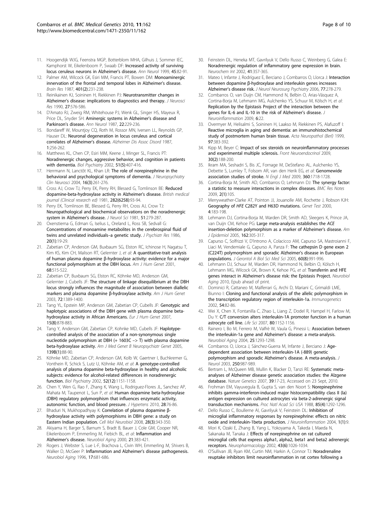- <span id="page-7-0"></span>11. Hoogendijk WJG, Feenstra MGP, Botterblom MHA, Gilhuis J, Sommer IEC, Kamphorst W, Eikelenboom P, Swaab DF: [Increased activity of surviving](http://www.ncbi.nlm.nih.gov/pubmed/9894881?dopt=Abstract) [locus ceruleus neurons in Alzheimer](http://www.ncbi.nlm.nih.gov/pubmed/9894881?dopt=Abstract)'s disease. Ann Neurol 1999, 45:82-91.
- 12. Palmer AM, Wilcock GK, Esiri MM, Francis PT, Bowen DM: [Monoaminergic](http://www.ncbi.nlm.nih.gov/pubmed/2434191?dopt=Abstract) [innervation of the frontal and temporal lobes in Alzheimer](http://www.ncbi.nlm.nih.gov/pubmed/2434191?dopt=Abstract)'s disease. Brain Res 1987, 401(2):231-238.
- 13. Reinikainen KJ, Soininen H, Riekkinen PJ: [Neurotransmitter changes in](http://www.ncbi.nlm.nih.gov/pubmed/1981917?dopt=Abstract) Alzheimer'[s disease: implications to diagnostics and therapy.](http://www.ncbi.nlm.nih.gov/pubmed/1981917?dopt=Abstract) J Neurosci Res 1990, 27:576-586.
- 14. D'Amato RJ, Zweig RM, Whitehouse PJ, Wenk GL, Singer HS, Mayeux R, Price DL, Snyder SH: [Aminergic systems in Alzheimer](http://www.ncbi.nlm.nih.gov/pubmed/3477996?dopt=Abstract)'s disease and [Parkinson](http://www.ncbi.nlm.nih.gov/pubmed/3477996?dopt=Abstract)'s disease. Ann Neurol 1987, 22:229-236.
- 15. Bondareff W, Mountjoy CQ, Roth M, Rossor MN, Iversen LL, Reynolds GP, Hauser DL: [Neuronal degeneration in locus ceruleus and cortical](http://www.ncbi.nlm.nih.gov/pubmed/3453748?dopt=Abstract) [correlates of Alzheimer](http://www.ncbi.nlm.nih.gov/pubmed/3453748?dopt=Abstract)'s disease. Alzheimer Dis Assoc Disord 1987, 1:256-262.
- 16. Matthews KL, Chen CP, Esiri MM, Keene J, Minger SL, Francis PT: [Noradrenergic changes, aggressive behavior, and cognition in patients](http://www.ncbi.nlm.nih.gov/pubmed/11904135?dopt=Abstract) [with dementia.](http://www.ncbi.nlm.nih.gov/pubmed/11904135?dopt=Abstract) Biol Psychiatry 2002, 51(5):407-416.
- 17. Herrmann N, Lanctôt KL, Khan LR: [The role of norepinephrine in the](http://www.ncbi.nlm.nih.gov/pubmed/15377733?dopt=Abstract) [behavioral and psychological symptoms of dementia.](http://www.ncbi.nlm.nih.gov/pubmed/15377733?dopt=Abstract) J Neuropsychiatry Clin Neurosci 2004, 16(3):261-276.
- 18. Cross AJ, Crow TJ, Perry EK, Perry RH, Blessed G, Tomlinson BE: [Reduced](http://www.ncbi.nlm.nih.gov/pubmed/6779929?dopt=Abstract) [dopamine-beta-hydroxylase activity in Alzheimer](http://www.ncbi.nlm.nih.gov/pubmed/6779929?dopt=Abstract)'s disease. British medical journal (Clinical research ed) 1981, 282(6258):93-94.
- 19. Perry EK, Tomlinson BE, Blessed G, Perry RH, Cross AJ, Crow TJ: [Neuropathological and biochemical observations on the noradrenergic](http://www.ncbi.nlm.nih.gov/pubmed/7276979?dopt=Abstract) [system in Alzheimer](http://www.ncbi.nlm.nih.gov/pubmed/7276979?dopt=Abstract)'s disease. J Neurol Sci 1981, 51:279-287.
- 20. Oxenstierna G, Edman G, Iselius L, Oreland L, Ross SB, Sedvall G: [Concentrations of monoamine metabolites in the cerebrospinal fluid of](http://www.ncbi.nlm.nih.gov/pubmed/2423688?dopt=Abstract) [twins and unrelated individuals](http://www.ncbi.nlm.nih.gov/pubmed/2423688?dopt=Abstract)-a genetic study. J Psychiatr Res 1986, 20(1):19-29.
- 21. Zabetian CP, Anderson GM, Buxbaum SG, Elston RC, Ichinose H, Nagatsu T, Kim KS, Kim CH, Malison RT, Gelernter J, et al: [A quantitative-trait analysis](http://www.ncbi.nlm.nih.gov/pubmed/11170900?dopt=Abstract) of human plasma dopamine β[-hydroxylase activity: evidence for a major](http://www.ncbi.nlm.nih.gov/pubmed/11170900?dopt=Abstract) [functional polymorphism at the DBH locus.](http://www.ncbi.nlm.nih.gov/pubmed/11170900?dopt=Abstract) Am J Hum Genet 2001, 68:515-522.
- 22. Zabetian CP, Buxbaum SG, Elston RC, Köhnke MD, Anderson GM, Gelernter J, Cubells JF: [The structure of linkage disequilibrium at the DBH](http://www.ncbi.nlm.nih.gov/pubmed/12730829?dopt=Abstract) [locus strongly influences the magnitude of association between diallelic](http://www.ncbi.nlm.nih.gov/pubmed/12730829?dopt=Abstract) [markers and plasma dopamine](http://www.ncbi.nlm.nih.gov/pubmed/12730829?dopt=Abstract) β-hydroxylase activity. Am J Hum Genet 2003, 72:1389-1400.
- 23. Tang YL, Epstein MP, Anderson GM, Zabetian CP, Cubells JF: [Genotypic and](http://www.ncbi.nlm.nih.gov/pubmed/17457369?dopt=Abstract) [haplotypic associations of the DBH gene with plasma dopamine beta](http://www.ncbi.nlm.nih.gov/pubmed/17457369?dopt=Abstract)[hydroxylase activity in African Americans.](http://www.ncbi.nlm.nih.gov/pubmed/17457369?dopt=Abstract) Eur J Hum Genet 2007, 15(8):878-883.
- 24. Tang Y, Anderson GM, Zabetian CP, Kohnke MD, Cubells JF: [Haplotype](http://www.ncbi.nlm.nih.gov/pubmed/16152569?dopt=Abstract)[controlled analysis of the association of a non-synonymous single](http://www.ncbi.nlm.nih.gov/pubmed/16152569?dopt=Abstract) [nucleotide polymorphism at DBH \(+ 1603C](http://www.ncbi.nlm.nih.gov/pubmed/16152569?dopt=Abstract) –> T) with plasma dopamine [beta-hydroxylase activity.](http://www.ncbi.nlm.nih.gov/pubmed/16152569?dopt=Abstract) Am J Med Genet B Neuropsychiatr Genet 2005, 139B(1):88-90.
- 25. Köhnke MD, Zabetian CP, Anderson GM, Kolb W, Gaertner I, Buchkremer G, Vonthein R, Schick S, Lutz U, Köhnke AM, et al: [A genotype-controlled](http://www.ncbi.nlm.nih.gov/pubmed/12488060?dopt=Abstract) [analysis of plasma dopamine beta-hydroxylase in healthy and alcoholic](http://www.ncbi.nlm.nih.gov/pubmed/12488060?dopt=Abstract) [subjects: evidence for alcohol-related differences in noradrenergic](http://www.ncbi.nlm.nih.gov/pubmed/12488060?dopt=Abstract) [function.](http://www.ncbi.nlm.nih.gov/pubmed/12488060?dopt=Abstract) Biol Psychiatry 2002, 52(12):1151-1158.
- 26. Chen Y, Wen G, Rao F, Zhang K, Wang L, Rodriguez-Flores JL, Sanchez AP, Mahata M, Taupenot L, Sun P, et al: [Human dopamine beta-hydroxylase](http://www.ncbi.nlm.nih.gov/pubmed/20009769?dopt=Abstract) [\(DBH\) regulatory polymorphism that influences enzymatic activity,](http://www.ncbi.nlm.nih.gov/pubmed/20009769?dopt=Abstract) [autonomic function, and blood pressure.](http://www.ncbi.nlm.nih.gov/pubmed/20009769?dopt=Abstract) J Hypertens 2010, 28:76-86.
- 27. Bhaduri N, Mukhopadhyay K: [Correlation of plasma dopamine](http://www.ncbi.nlm.nih.gov/pubmed/18172755?dopt=Abstract) β[hydroxylase activity with polymorphisms in DBH gene: a study on](http://www.ncbi.nlm.nih.gov/pubmed/18172755?dopt=Abstract) [Eastern Indian population.](http://www.ncbi.nlm.nih.gov/pubmed/18172755?dopt=Abstract) Cell Mol Neurobiol 2008, 28(3):343-350.
- 28. Akiyama H, Barger S, Barnum S, Bradt B, Bauer J, Cole GM, Cooper NR, Eikelenboom P, Emmerling M, Fiebich BL, et al: [Inflammation and](http://www.ncbi.nlm.nih.gov/pubmed/10858586?dopt=Abstract) [Alzheimer](http://www.ncbi.nlm.nih.gov/pubmed/10858586?dopt=Abstract)'s disease. Neurobiol Aging 2000, 21:383-421.
- 29. Rogers J, Webster S, Lue L-F, Brachova L, Civin WH, Emmerling M, Shivers B, Walker D, McGeer P: [Inflammation and Alzheimer](http://www.ncbi.nlm.nih.gov/pubmed/8892340?dopt=Abstract)'s disease pathogenesis. Neurobiol Aging 1996, 17:681-686.
- 30. Feinstein DL, Heneka MT, Gavrilyuk V, Dello Russo C, Weinberg G, Galea E: [Noradrenergic regulation of inflammatory gene expression in brain.](http://www.ncbi.nlm.nih.gov/pubmed/12176079?dopt=Abstract) Neurochem Int 2002, 41:357-365.
- 31. Mateo I, Infante J, Rodríguez E, Berciano J, Combarros O, Llorca J: [Interaction](http://www.ncbi.nlm.nih.gov/pubmed/16421143?dopt=Abstract) between dopamine β[-hydroxylase and interleukin genes increases](http://www.ncbi.nlm.nih.gov/pubmed/16421143?dopt=Abstract) Alzheimer'[s disease risk.](http://www.ncbi.nlm.nih.gov/pubmed/16421143?dopt=Abstract) J Neurol Neurosurg Psychiatry 2006, 77:278-279.
- 32. Combarros O, van Duijn CM, Hammond N, Belbin O, Arias-Vásquez A, Cortina-Borja M, Lehmann MG, Aulchenko YS, Schuur M, Kölsch H, et al: [Replication by the Epistasis Project of the interaction between the](http://www.ncbi.nlm.nih.gov/pubmed/19698145?dopt=Abstract) [genes for IL-6 and IL-10 in the risk of Alzheimer](http://www.ncbi.nlm.nih.gov/pubmed/19698145?dopt=Abstract)'s disease. J Neuroinflammation 2009, 6:22.
- 33. Overmyer M, Helisalmi S, Soininen H, Laakso M, Riekkinen PS, Alafuzoff I: Reactive microglia in aging and dementia: an immunohistochemical study of postmortem human brain tissue. Acta Neuropathol (Berl) 1999, 97:383-392.
- 34. Kipp M, Beyer C: [Impact of sex steroids on neuroinflammatory processes](http://www.ncbi.nlm.nih.gov/pubmed/19393685?dopt=Abstract) [and experimental multiple sclerosis.](http://www.ncbi.nlm.nih.gov/pubmed/19393685?dopt=Abstract) Front Neuroendocrinol 2009, 30(2):188-200.
- 35. Ikram MA, Seshadri S, Bis JC, Fornage M, DeStefano AL, Aulchenko YS, Debette S, Lumley T, Folsom AR, van den Herik EG, et al: [Genomewide](http://www.ncbi.nlm.nih.gov/pubmed/19369658?dopt=Abstract) [association studies of stroke.](http://www.ncbi.nlm.nih.gov/pubmed/19369658?dopt=Abstract) N Engl J Med 2009, 360:1718-1728.
- Cortina-Borja M, Smith AD, Combarros O, Lehmann DJ: [The synergy factor:](http://www.ncbi.nlm.nih.gov/pubmed/19527493?dopt=Abstract) [a statistic to measure interactions in complex diseases.](http://www.ncbi.nlm.nih.gov/pubmed/19527493?dopt=Abstract) BMC Res Notes 2009, 2(1):105.
- 37. Merryweather-Clarke AT, Pointon JJ, Jouanolle AM, Rochette J, Robson KJH: Geography of HFE [C282Y and H63D mutations.](http://www.ncbi.nlm.nih.gov/pubmed/10953959?dopt=Abstract) Genet Test 2000, 4:183-198.
- 38. Lehmann DJ, Cortina-Borja M, Warden DR, Smith AD, Sleegers K, Prince JA, van Duijn CM, Kehoe PG: [Large meta-analysis establishes the](http://www.ncbi.nlm.nih.gov/pubmed/16033878?dopt=Abstract) ACE [insertion-deletion polymorphism as a marker of Alzheimer](http://www.ncbi.nlm.nih.gov/pubmed/16033878?dopt=Abstract)'s disease. Am J Epidemiol 2005, 162:305-317.
- 39. Capurso C, Solfrizzi V, D'Introno A, Colacicco AM, Capurso SA, Mastroianni F, Liaci M, Vendemiale G, Capurso A, Panza F: [The cathepsin D gene exon 2](http://www.ncbi.nlm.nih.gov/pubmed/16127101?dopt=Abstract) [\(C224T\) polymorphism and sporadic Alzheimer](http://www.ncbi.nlm.nih.gov/pubmed/16127101?dopt=Abstract)'s disease in European [populations.](http://www.ncbi.nlm.nih.gov/pubmed/16127101?dopt=Abstract) J Gerontol A Biol Sci Med Sci 2005, 60(8):991-996.
- 40. Lehmann DJ, Schuur M, Warden DR, Hammond N, Belbin O, Kölsch H, Lehmann MG, Wilcock GK, Brown K, Kehoe PG, et al: [Transferrin and HFE](http://www.ncbi.nlm.nih.gov/pubmed/20817350?dopt=Abstract) genes interact in Alzheimer'[s disease risk: the Epistasis Project.](http://www.ncbi.nlm.nih.gov/pubmed/20817350?dopt=Abstract) Neurobiol Aging 2010, Epub ahead of print.
- 41. Dominici R, Cattaneo M, Malferrari G, Archi D, Mariani C, Grimaldi LME, Biunno I: [Cloning and functional analysis of the allelic polymorphism in](http://www.ncbi.nlm.nih.gov/pubmed/12037600?dopt=Abstract) [the transcription regulatory region of interleukin-1a.](http://www.ncbi.nlm.nih.gov/pubmed/12037600?dopt=Abstract) Immunogenetics 2002, 54:82-86.
- 42. Wei X, Chen X, Fontanilla C, Zhao L, Liang Z, Dodel R, Hampel H, Farlow M, Du Y: [C/T conversion alters interleukin-1A promoter function in a human](http://www.ncbi.nlm.nih.gov/pubmed/17257626?dopt=Abstract) [astrocyte cell line.](http://www.ncbi.nlm.nih.gov/pubmed/17257626?dopt=Abstract) Life Sci 2007, 80:1152-1156.
- 43. Rainero I, Bo M, Ferrero M, Valfrè W, Vaula G, Pinessi L: [Association betwen](http://www.ncbi.nlm.nih.gov/pubmed/15465625?dopt=Abstract) [the interleukin-1a gene and Alzheimer](http://www.ncbi.nlm.nih.gov/pubmed/15465625?dopt=Abstract)'s disease: a meta-analysis. Neurobiol Aging 2004, 25:1293-1298.
- 44. Combarros O, Llorca J, Sánchez-Guerra M, Infante J, Berciano J: Aqe[dependent association between interleukin-1A \(-889\) genetic](http://www.ncbi.nlm.nih.gov/pubmed/12928921?dopt=Abstract) [polymorphism and sporadic Alzheimer](http://www.ncbi.nlm.nih.gov/pubmed/12928921?dopt=Abstract)'s disease. A meta-analysis. J Neurol 2003, 250:987-989.
- 45. Bertram L, McQueen MB, Mullin K, Blacker D, Tanzi RE: [Systematic meta](http://www.ncbi.nlm.nih.gov/pubmed/17192785?dopt=Abstract)[analyses of Alzheimer disease genetic association studies: the Alzgene](http://www.ncbi.nlm.nih.gov/pubmed/17192785?dopt=Abstract) [database.](http://www.ncbi.nlm.nih.gov/pubmed/17192785?dopt=Abstract) Nature Genetics 2007, 39:17-23, Accessed on 23 Sept, 2010.
- 46. Frohman EM, Vayuvegula B, Gupta S, van den Noort S: [Norepinephrine](http://www.ncbi.nlm.nih.gov/pubmed/2829222?dopt=Abstract) [inhibits gamma-interferon-induced major histocompatibility class II \(Ia\)](http://www.ncbi.nlm.nih.gov/pubmed/2829222?dopt=Abstract) [antigen expression on cultured astrocytes via beta-2-adrenergic signal](http://www.ncbi.nlm.nih.gov/pubmed/2829222?dopt=Abstract) [transduction mechanisms.](http://www.ncbi.nlm.nih.gov/pubmed/2829222?dopt=Abstract) Proc Natl Acad Sci USA 1988, 85(4):1292-1296.
- 47. Dello Russo C, Boullerne AI, Gavrilyuk V, Feinstein DL: [Inhibition of](http://www.ncbi.nlm.nih.gov/pubmed/15285793?dopt=Abstract) [microglial inflammatory responses by norepinephrine: effects on nitric](http://www.ncbi.nlm.nih.gov/pubmed/15285793?dopt=Abstract) [oxide and interleukin-1beta production.](http://www.ncbi.nlm.nih.gov/pubmed/15285793?dopt=Abstract) J Neuroinflammation 2004, 1(1):9.
- 48. Mori K, Ozaki E, Zhang B, Yang L, Yokoyama A, Takeda I, Maeda N, Sakanaka M, Tanaka J: [Effects of norepinephrine on rat cultured](http://www.ncbi.nlm.nih.gov/pubmed/12423672?dopt=Abstract) [microglial cells that express alpha1, alpha2, beta1 and beta2 adrenergic](http://www.ncbi.nlm.nih.gov/pubmed/12423672?dopt=Abstract) [receptors.](http://www.ncbi.nlm.nih.gov/pubmed/12423672?dopt=Abstract) Neuropharmacology 2002, 43(6):1026-1034.
- O'Sullivan JB, Ryan KM, Curtin NM, Harkin A, Connor TJ: [Noradrenaline](http://www.ncbi.nlm.nih.gov/pubmed/19046481?dopt=Abstract) [reuptake inhibitors limit neuroinflammation in rat cortex following a](http://www.ncbi.nlm.nih.gov/pubmed/19046481?dopt=Abstract)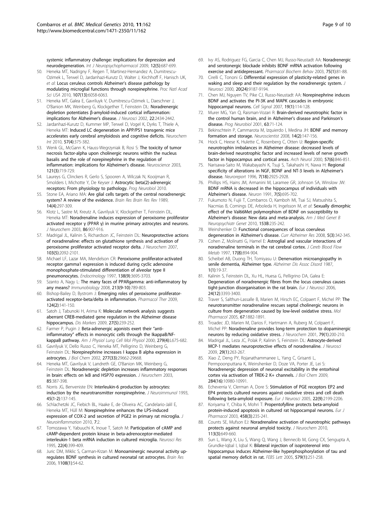<span id="page-8-0"></span>[systemic inflammatory challenge: implications for depression and](http://www.ncbi.nlm.nih.gov/pubmed/19046481?dopt=Abstract) [neurodegeneration.](http://www.ncbi.nlm.nih.gov/pubmed/19046481?dopt=Abstract) Int J Neuropsychopharmacol 2009, 12(5):687-699.

- 50. Heneka MT, Nadrigny F, Regen T, Martinez-Hernandez A, Dumitrescu-Ozimek L, Terwel D, Jardanhazi-Kurutz D, Walter J, Kirchhoff F, Hanisch UK, et al: [Locus ceruleus controls Alzheimer](http://www.ncbi.nlm.nih.gov/pubmed/20231476?dopt=Abstract)'s disease pathology by [modulating microglial functions through norepinephrine.](http://www.ncbi.nlm.nih.gov/pubmed/20231476?dopt=Abstract) Proc Natl Acad Sci USA 2010, 107(13):6058-6063.
- 51. Heneka MT, Galea E, Gavriluyk V, Dumitrescu-Ozimek L, Daeschner J, O'Banion MK, Weinberg G, Klockgether T, Feinstein DL: [Noradrenergic](http://www.ncbi.nlm.nih.gov/pubmed/11923407?dopt=Abstract) depletion potentiates β[-amyloid-induced cortical inflammation:](http://www.ncbi.nlm.nih.gov/pubmed/11923407?dopt=Abstract) [implications for Alzheimer](http://www.ncbi.nlm.nih.gov/pubmed/11923407?dopt=Abstract)'s disease. J Neurosci 2002, 22:2434-2442.
- 52. Jardanhazi-Kurutz D, Kummer MP, Terwel D, Vogel K, Dyrks T, Thiele A, Heneka MT: [Induced LC degeneration in APP/PS1 transgenic mice](http://www.ncbi.nlm.nih.gov/pubmed/20144675?dopt=Abstract) [accelerates early cerebral amyloidosis and cognitive deficits.](http://www.ncbi.nlm.nih.gov/pubmed/20144675?dopt=Abstract) Neurochem Int 2010, 57(4):375-382.
- 53. Wenk GL, McGann K, Hauss-Wegrzyniak B, Rosi S: [The toxicity of tumor](http://www.ncbi.nlm.nih.gov/pubmed/14568031?dopt=Abstract) [necrosis factor-alpha upon cholinergic neurons within the nucleus](http://www.ncbi.nlm.nih.gov/pubmed/14568031?dopt=Abstract) [basalis and the role of norepinephrine in the regulation of](http://www.ncbi.nlm.nih.gov/pubmed/14568031?dopt=Abstract) [inflammation: implications for Alzheimer](http://www.ncbi.nlm.nih.gov/pubmed/14568031?dopt=Abstract)'s disease. Neuroscience 2003, 121(3):719-729.
- 54. Laureys G, Clinckers R, Gerlo S, Spooren A, Wilczak N, Kooijman R, Smolders I, Michotte Y, De Keyser J: [Astrocytic beta\(2\)-adrenergic](http://www.ncbi.nlm.nih.gov/pubmed/20138112?dopt=Abstract) [receptors: From physiology to pathology.](http://www.ncbi.nlm.nih.gov/pubmed/20138112?dopt=Abstract) Prog Neurobiol 2010.
- 55. Stone EA, Ariano MA: [Are glial cells targets of the central noradrenergic](http://www.ncbi.nlm.nih.gov/pubmed/2560410?dopt=Abstract) [system? A review of the evidence.](http://www.ncbi.nlm.nih.gov/pubmed/2560410?dopt=Abstract) Brain Res Brain Res Rev 1989, 14(4):297-309.
- 56. Klotz L, Sastre M, Kreutz A, Gavrilyuk V, Klockgether T, Feinstein DL, Heneka MT: [Noradrenaline induces expression of peroxisome proliferator](http://www.ncbi.nlm.nih.gov/pubmed/12887689?dopt=Abstract) activated receptor γ (PPAR γ[\) in murine primary astrocytes and neurons.](http://www.ncbi.nlm.nih.gov/pubmed/12887689?dopt=Abstract) J Neurochem 2003, 86:907-916.
- 57. Madrigal JL, Kalinin S, Richardson JC, Feinstein DL: [Neuroprotective actions](http://www.ncbi.nlm.nih.gov/pubmed/17854349?dopt=Abstract) [of noradrenaline: effects on glutathione synthesis and activation of](http://www.ncbi.nlm.nih.gov/pubmed/17854349?dopt=Abstract) [peroxisome proliferator activated receptor delta.](http://www.ncbi.nlm.nih.gov/pubmed/17854349?dopt=Abstract) J Neurochem 2007, 103(5):2092-2101.
- 58. Michael LF, Lazar MA, Mendelson CR: [Peroxisome proliferator-activated](http://www.ncbi.nlm.nih.gov/pubmed/9275054?dopt=Abstract) [receptor gamma1 expression is induced during cyclic adenosine](http://www.ncbi.nlm.nih.gov/pubmed/9275054?dopt=Abstract) [monophosphate-stimulated differentiation of alveolar type II](http://www.ncbi.nlm.nih.gov/pubmed/9275054?dopt=Abstract) [pneumonocytes.](http://www.ncbi.nlm.nih.gov/pubmed/9275054?dopt=Abstract) Endocrinology 1997, 138(9):3695-3703.
- 59. Szanto A, Nagy L: [The many faces of PPARgamma: anti-inflammatory by](http://www.ncbi.nlm.nih.gov/pubmed/18926294?dopt=Abstract) [any means?](http://www.ncbi.nlm.nih.gov/pubmed/18926294?dopt=Abstract) Immunobiology 2008, 213(9-10):789-803.
- 60. Bishop-Bailey D, Bystrom J: [Emerging roles of peroxisome proliferator](http://www.ncbi.nlm.nih.gov/pubmed/19615407?dopt=Abstract)[activated receptor-beta/delta in inflammation.](http://www.ncbi.nlm.nih.gov/pubmed/19615407?dopt=Abstract) Pharmacol Ther 2009, 124(2):141-150.
- 61. Satoh J, Tabunoki H, Arima K: [Molecular network analysis suggests](http://www.ncbi.nlm.nih.gov/pubmed/20037212?dopt=Abstract) [aberrant CREB-mediated gene regulation in the Alzheimer disease](http://www.ncbi.nlm.nih.gov/pubmed/20037212?dopt=Abstract) [hippocampus.](http://www.ncbi.nlm.nih.gov/pubmed/20037212?dopt=Abstract) Dis Markers 2009, 27(5):239-252.
- 62. Farmer P, Pugin J: [Beta-adrenergic agonists exert their](http://www.ncbi.nlm.nih.gov/pubmed/11000127?dopt=Abstract) "antiinflammatory" [effects in monocytic cells through the IkappaB/NF](http://www.ncbi.nlm.nih.gov/pubmed/11000127?dopt=Abstract)[kappaB pathway.](http://www.ncbi.nlm.nih.gov/pubmed/11000127?dopt=Abstract) Am J Physiol Lung Cell Mol Physiol 2000, 279(4):L675-682.
- 63. Gavrilyuk V, Dello Russo C, Heneka MT, Pelligrino D, Weinberg G, Feinstein DL: [Norepinephrine increases I kappa B alpha expression in](http://www.ncbi.nlm.nih.gov/pubmed/12050158?dopt=Abstract) [astrocytes.](http://www.ncbi.nlm.nih.gov/pubmed/12050158?dopt=Abstract) J Biol Chem 2002, 277(33):29662-29668.
- 64. Heneka MT, Gavrilyuk V, Landreth GE, O'Banion MK, Weinberg G, Feinstein DL: [Noradrenergic depletion increases inflammatory responses](http://www.ncbi.nlm.nih.gov/pubmed/12675915?dopt=Abstract) in brain: effects on Iκ[B and HSP70 expression.](http://www.ncbi.nlm.nih.gov/pubmed/12675915?dopt=Abstract) J Neurochem 2003, 85:387-398.
- 65. Norris JG, Benveniste EN: [Interleukin-6 production by astrocytes:](http://www.ncbi.nlm.nih.gov/pubmed/8392517?dopt=Abstract) [induction by the neurotransmitter norepinephrine.](http://www.ncbi.nlm.nih.gov/pubmed/8392517?dopt=Abstract) J Neuroimmunol 1993, 45(1-2):137-145.
- 66. Schlachetzki JC, Fiebich BL, Haake E, de Oliveira AC, Candelario-Jalil E, Heneka MT, Hüll M: [Norepinephrine enhances the LPS-induced](http://www.ncbi.nlm.nih.gov/pubmed/20064241?dopt=Abstract) [expression of COX-2 and secretion of PGE2 in primary rat microglia.](http://www.ncbi.nlm.nih.gov/pubmed/20064241?dopt=Abstract) J Neuroinflammation 2010, 7:2.
- 67. Tomozawa Y, Yabuuchi K, Inoue T, Satoh M: [Participation of cAMP and](http://www.ncbi.nlm.nih.gov/pubmed/7478305?dopt=Abstract) [cAMP-dependent protein kinase in beta-adrenoceptor-mediated](http://www.ncbi.nlm.nih.gov/pubmed/7478305?dopt=Abstract) [interleukin-1 beta mRNA induction in cultured microglia.](http://www.ncbi.nlm.nih.gov/pubmed/7478305?dopt=Abstract) Neurosci Res 1995, 22(4):399-409.
- 68. Juric DM, Miklic S, Carman-Krzan M: [Monoaminergic neuronal activity up](http://www.ncbi.nlm.nih.gov/pubmed/16828062?dopt=Abstract)[regulates BDNF synthesis in cultured neonatal rat astrocytes.](http://www.ncbi.nlm.nih.gov/pubmed/16828062?dopt=Abstract) Brain Res 2006, 1108(1):54-62.
- 69. Ivy AS, Rodriguez FG, Garcia C, Chen MJ, Russo-Neustadt AA: [Noradrenergic](http://www.ncbi.nlm.nih.gov/pubmed/12759116?dopt=Abstract) [and serotonergic blockade inhibits BDNF mRNA activation following](http://www.ncbi.nlm.nih.gov/pubmed/12759116?dopt=Abstract) [exercise and antidepressant.](http://www.ncbi.nlm.nih.gov/pubmed/12759116?dopt=Abstract) Pharmacol Biochem Behav 2003, 75(1):81-88.
- 70. Cirelli C, Tononi G: [Differential expression of plasticity-related genes in](http://www.ncbi.nlm.nih.gov/pubmed/11124996?dopt=Abstract) [waking and sleep and their regulation by the noradrenergic system.](http://www.ncbi.nlm.nih.gov/pubmed/11124996?dopt=Abstract) J Neurosci 2000, 20(24):9187-9194.
- 71. Chen MJ, Nguyen TV, Pike CJ, Russo-Neustadt AA: [Norepinephrine induces](http://www.ncbi.nlm.nih.gov/pubmed/16876982?dopt=Abstract) [BDNF and activates the PI-3K and MAPK cascades in embryonic](http://www.ncbi.nlm.nih.gov/pubmed/16876982?dopt=Abstract) [hippocampal neurons.](http://www.ncbi.nlm.nih.gov/pubmed/16876982?dopt=Abstract) Cell Signal 2007, 19(1):114-128.
- 72. Murer MG, Yan Q, Raisman-Vozari R: [Brain-derived neurotrophic factor in](http://www.ncbi.nlm.nih.gov/pubmed/11040419?dopt=Abstract) [the control human brain, and in Alzheimer](http://www.ncbi.nlm.nih.gov/pubmed/11040419?dopt=Abstract)'s disease and Parkinson's [disease.](http://www.ncbi.nlm.nih.gov/pubmed/11040419?dopt=Abstract) Prog Neurobiol 2001, 63:71-124.
- 73. Bekinschtein P, Cammarota M, Izquierdo I, Medina JH: [BDNF and memory](http://www.ncbi.nlm.nih.gov/pubmed/17911219?dopt=Abstract) [formation and storage.](http://www.ncbi.nlm.nih.gov/pubmed/17911219?dopt=Abstract) Neuroscientist 2008, 14(2):147-156.
- 74. Hock C, Heese K, Hulette C, Rosenberg C, Otten U: [Region-specific](http://www.ncbi.nlm.nih.gov/pubmed/10867782?dopt=Abstract) [neurotrophin imbalances in Alzheimer disease: decreased levels of](http://www.ncbi.nlm.nih.gov/pubmed/10867782?dopt=Abstract) [brain-derived neurotrophic factor and increased levels of nerve growth](http://www.ncbi.nlm.nih.gov/pubmed/10867782?dopt=Abstract) [factor in hippocampus and cortical areas.](http://www.ncbi.nlm.nih.gov/pubmed/10867782?dopt=Abstract) Arch Neurol 2000, 57(6):846-851.
- 75. Narisawa-Saito M, Wakabayashi K, Tsuji S, Takahashi H, Nawa H: [Regional](http://www.ncbi.nlm.nih.gov/pubmed/9116211?dopt=Abstract) [specificity of alterations in NGF, BDNF and NT-3 levels in Alzheimer](http://www.ncbi.nlm.nih.gov/pubmed/9116211?dopt=Abstract)'s [disease.](http://www.ncbi.nlm.nih.gov/pubmed/9116211?dopt=Abstract) Neuroreport 1996, 7(18):2925-2928.
- 76. Phillips HS, Hains JM, Armanini M, Laramee GR, Johnson SA, Winslow JW: [BDNF mRNA is decreased in the hippocampus of individuals with](http://www.ncbi.nlm.nih.gov/pubmed/1742020?dopt=Abstract) [Alzheimer](http://www.ncbi.nlm.nih.gov/pubmed/1742020?dopt=Abstract)'s disease. Neuron 1991, 7(5):695-702.
- 77. Fukumoto N, Fujii T, Combarros O, Kamboh MI, Tsai SJ, Matsushita S, Nacmias B, Comings DE, Arboleda H, Ingelsson M, et al: [Sexually dimorphic](http://www.ncbi.nlm.nih.gov/pubmed/19504537?dopt=Abstract) [effect of the Val66Met polymorphism of BDNF on susceptibility to](http://www.ncbi.nlm.nih.gov/pubmed/19504537?dopt=Abstract) Alzheimer'[s disease: New data and meta-analysis.](http://www.ncbi.nlm.nih.gov/pubmed/19504537?dopt=Abstract) Am J Med Genet B Neuropsychiatr Genet 2010, 153B:235-242.
- 78. Weinshenker D: [Functional consequences of locus coeruleus](http://www.ncbi.nlm.nih.gov/pubmed/18537547?dopt=Abstract) [degeneration in Alzheimer](http://www.ncbi.nlm.nih.gov/pubmed/18537547?dopt=Abstract)'s disease. Curr Alzheimer Res 2008, 5(3):342-345.
- 79. Cohen Z, Molinatti G, Hamel E: [Astroglial and vascular interactions of](http://www.ncbi.nlm.nih.gov/pubmed/9290587?dopt=Abstract) [noradrenaline terminals in the rat cerebral cortex.](http://www.ncbi.nlm.nih.gov/pubmed/9290587?dopt=Abstract) J Cereb Blood Flow Metab 1997, 17(8):894-904.
- 80. Scheibel AB, Duong TH, Tomiyasu U: [Denervation microangiopathy in](http://www.ncbi.nlm.nih.gov/pubmed/3453741?dopt=Abstract) [senile dementia, Alzheimer type.](http://www.ncbi.nlm.nih.gov/pubmed/3453741?dopt=Abstract) Alzheimer Dis Assoc Disord 1987, 1(1):19-37.
- 81. Kalinin S, Feinstein DL, Xu HL, Huesa G, Pelligrino DA, Galea E: [Degeneration of noradrenergic fibres from the locus coeruleus causes](http://www.ncbi.nlm.nih.gov/pubmed/17229089?dopt=Abstract) [tight-junction disorganisation in the rat brain.](http://www.ncbi.nlm.nih.gov/pubmed/17229089?dopt=Abstract) Eur J Neurosci 2006, 24(12):3393-3400.
- Traver S, Salthun-Lassalle B, Marien M, Hirsch EC, Colpaert F, Michel PP: [The](http://www.ncbi.nlm.nih.gov/pubmed/15784847?dopt=Abstract) [neurotransmitter noradrenaline rescues septal cholinergic neurons in](http://www.ncbi.nlm.nih.gov/pubmed/15784847?dopt=Abstract) [culture from degeneration caused by low-level oxidative stress.](http://www.ncbi.nlm.nih.gov/pubmed/15784847?dopt=Abstract) Mol Pharmacol 2005, 67:1882-1891.
- 83. Troadec JD, Marien M, Darios F, Hartmann A, Ruberg M, Colpaert F, Michel PP: [Noradrenaline provides long-term protection to dopaminergic](http://www.ncbi.nlm.nih.gov/pubmed/11595772?dopt=Abstract) [neurons by reducing oxidative stress.](http://www.ncbi.nlm.nih.gov/pubmed/11595772?dopt=Abstract) J Neurochem 2001, 79(1):200-210.
- 84. Madrigal JL, Leza JC, Polak P, Kalinin S, Feinstein DL: [Astrocyte-derived](http://www.ncbi.nlm.nih.gov/pubmed/19129402?dopt=Abstract) [MCP-1 mediates neuroprotective effects of noradrenaline.](http://www.ncbi.nlm.nih.gov/pubmed/19129402?dopt=Abstract) J Neurosci 2009, 29(1):263-267.
- 85. Xiao Z, Deng PY, Rojanathammanee L, Yang C, Grisanti L, Permpoonputtana K, Weinshenker D, Doze VA, Porter JE, Lei S: [Noradrenergic depression of neuronal excitability in the entorhinal](http://www.ncbi.nlm.nih.gov/pubmed/19244246?dopt=Abstract) [cortex via activation of TREK-2 K+ channels.](http://www.ncbi.nlm.nih.gov/pubmed/19244246?dopt=Abstract) J Biol Chem 2009, 284(16):10980-10991.
- 86. Echeverria V, Clerman A, Dore S: [Stimulation of PGE receptors EP2 and](http://www.ncbi.nlm.nih.gov/pubmed/16262658?dopt=Abstract) [EP4 protects cultured neurons against oxidative stress and cell death](http://www.ncbi.nlm.nih.gov/pubmed/16262658?dopt=Abstract) [following beta-amyloid exposure.](http://www.ncbi.nlm.nih.gov/pubmed/16262658?dopt=Abstract) Eur J Neurosci 2005, 22(9):2199-2206.
- 87. Koriyama Y, Chiba K, Mohri T: [Propentofylline protects beta-amyloid](http://www.ncbi.nlm.nih.gov/pubmed/12504778?dopt=Abstract) [protein-induced apoptosis in cultured rat hippocampal neurons.](http://www.ncbi.nlm.nih.gov/pubmed/12504778?dopt=Abstract) Eur J Pharmacol 2003, 458(3):235-241.
- 88. Counts SE, Mufson EJ: [Noradrenaline activation of neurotrophic pathways](http://www.ncbi.nlm.nih.gov/pubmed/20132474?dopt=Abstract) [protects against neuronal amyloid toxicity.](http://www.ncbi.nlm.nih.gov/pubmed/20132474?dopt=Abstract) J Neurochem 2010, 113(3):649-660.
- 89. Sun L, Wang X, Liu S, Wang Q, Wang J, Bennecib M, Gong CX, Sengupta A, Grundke-Iqbal I, Iqbal K: [Bilateral injection of isoproterenol into](http://www.ncbi.nlm.nih.gov/pubmed/15620722?dopt=Abstract) [hippocampus induces Alzheimer-like hyperphosphorylation of tau and](http://www.ncbi.nlm.nih.gov/pubmed/15620722?dopt=Abstract) [spatial memory deficit in rat.](http://www.ncbi.nlm.nih.gov/pubmed/15620722?dopt=Abstract) FEBS Lett 2005, 579(1):251-258.